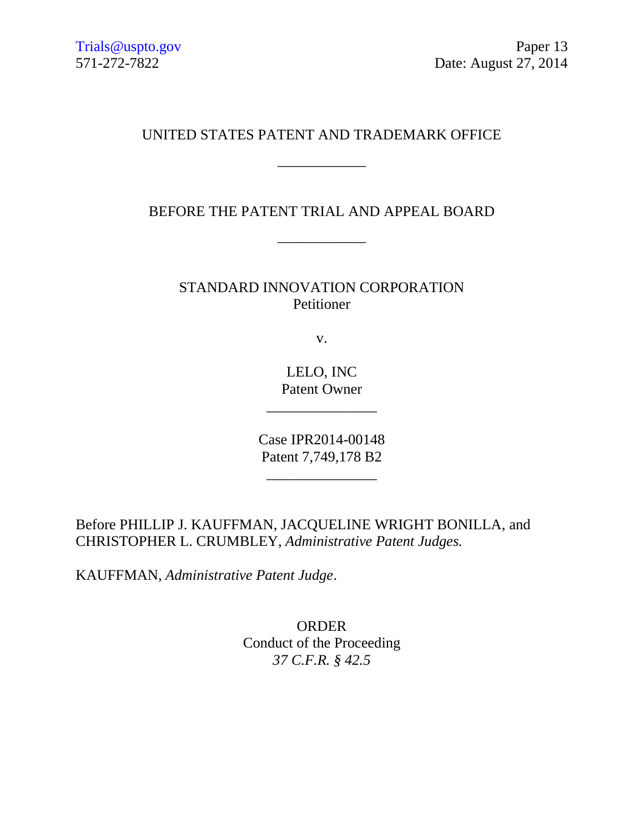## UNITED STATES PATENT AND TRADEMARK OFFICE

\_\_\_\_\_\_\_\_\_\_\_\_

BEFORE THE PATENT TRIAL AND APPEAL BOARD

\_\_\_\_\_\_\_\_\_\_\_\_

STANDARD INNOVATION CORPORATION Petitioner

v.

LELO, INC Patent Owner

\_\_\_\_\_\_\_\_\_\_\_\_\_\_\_

Case IPR2014-00148 Patent 7,749,178 B2

 $\overbrace{\phantom{aaaaaaa}}$ 

Before PHILLIP J. KAUFFMAN, JACQUELINE WRIGHT BONILLA, and CHRISTOPHER L. CRUMBLEY, *Administrative Patent Judges.*

KAUFFMAN, *Administrative Patent Judge*.

ORDER Conduct of the Proceeding *37 C.F.R. § 42.5*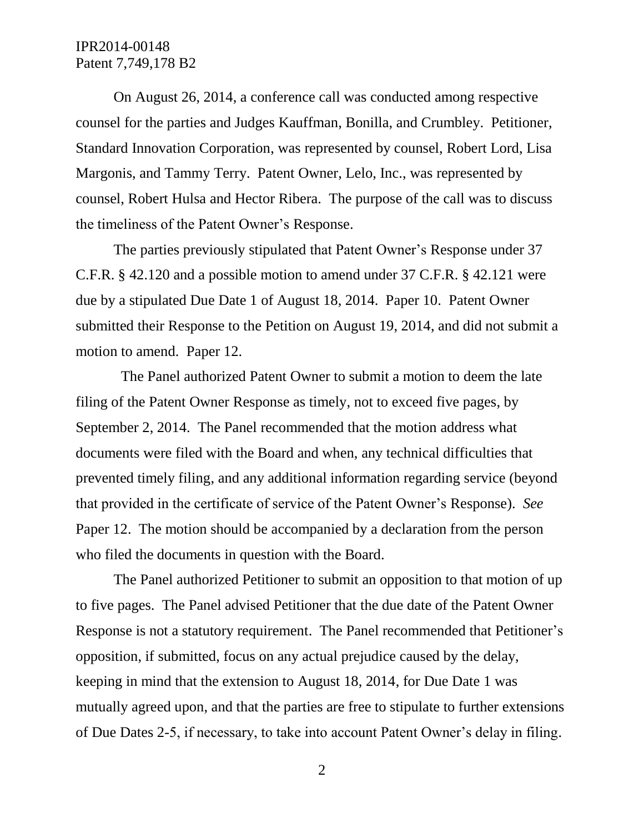## IPR2014-00148 Patent 7,749,178 B2

On August 26, 2014, a conference call was conducted among respective counsel for the parties and Judges Kauffman, Bonilla, and Crumbley. Petitioner, Standard Innovation Corporation, was represented by counsel, Robert Lord, Lisa Margonis, and Tammy Terry. Patent Owner, Lelo, Inc., was represented by counsel, Robert Hulsa and Hector Ribera. The purpose of the call was to discuss the timeliness of the Patent Owner's Response.

The parties previously stipulated that Patent Owner's Response under 37 C.F.R. § 42.120 and a possible motion to amend under 37 C.F.R. § 42.121 were due by a stipulated Due Date 1 of August 18, 2014. Paper 10. Patent Owner submitted their Response to the Petition on August 19, 2014, and did not submit a motion to amend. Paper 12.

 The Panel authorized Patent Owner to submit a motion to deem the late filing of the Patent Owner Response as timely, not to exceed five pages, by September 2, 2014. The Panel recommended that the motion address what documents were filed with the Board and when, any technical difficulties that prevented timely filing, and any additional information regarding service (beyond that provided in the certificate of service of the Patent Owner's Response). *See* Paper 12. The motion should be accompanied by a declaration from the person who filed the documents in question with the Board.

The Panel authorized Petitioner to submit an opposition to that motion of up to five pages. The Panel advised Petitioner that the due date of the Patent Owner Response is not a statutory requirement. The Panel recommended that Petitioner's opposition, if submitted, focus on any actual prejudice caused by the delay, keeping in mind that the extension to August 18, 2014, for Due Date 1 was mutually agreed upon, and that the parties are free to stipulate to further extensions of Due Dates 2-5, if necessary, to take into account Patent Owner's delay in filing.

2